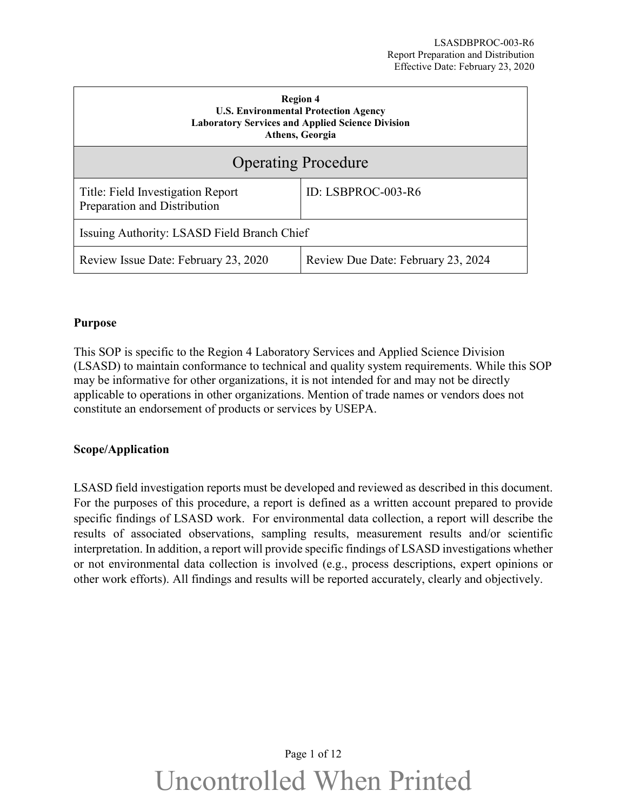| <b>Region 4</b><br><b>U.S. Environmental Protection Agency</b><br><b>Laboratory Services and Applied Science Division</b><br>Athens, Georgia |                                    |  |
|----------------------------------------------------------------------------------------------------------------------------------------------|------------------------------------|--|
| <b>Operating Procedure</b>                                                                                                                   |                                    |  |
| Title: Field Investigation Report<br>Preparation and Distribution                                                                            | ID: LSBPROC-003-R6                 |  |
| Issuing Authority: LSASD Field Branch Chief                                                                                                  |                                    |  |
| Review Issue Date: February 23, 2020                                                                                                         | Review Due Date: February 23, 2024 |  |

#### <span id="page-0-0"></span>**Purpose**

This SOP is specific to the Region 4 Laboratory Services and Applied Science Division (LSASD) to maintain conformance to technical and quality system requirements. While this SOP may be informative for other organizations, it is not intended for and may not be directly applicable to operations in other organizations. Mention of trade names or vendors does not constitute an endorsement of products or services by USEPA.

#### <span id="page-0-1"></span>**Scope/Application**

LSASD field investigation reports must be developed and reviewed as described in this document. For the purposes of this procedure, a report is defined as a written account prepared to provide specific findings of LSASD work. For environmental data collection, a report will describe the results of associated observations, sampling results, measurement results and/or scientific interpretation. In addition, a report will provide specific findings of LSASD investigations whether or not environmental data collection is involved (e.g., process descriptions, expert opinions or other work efforts). All findings and results will be reported accurately, clearly and objectively.

# Page 1 of 12 Uncontrolled When Printed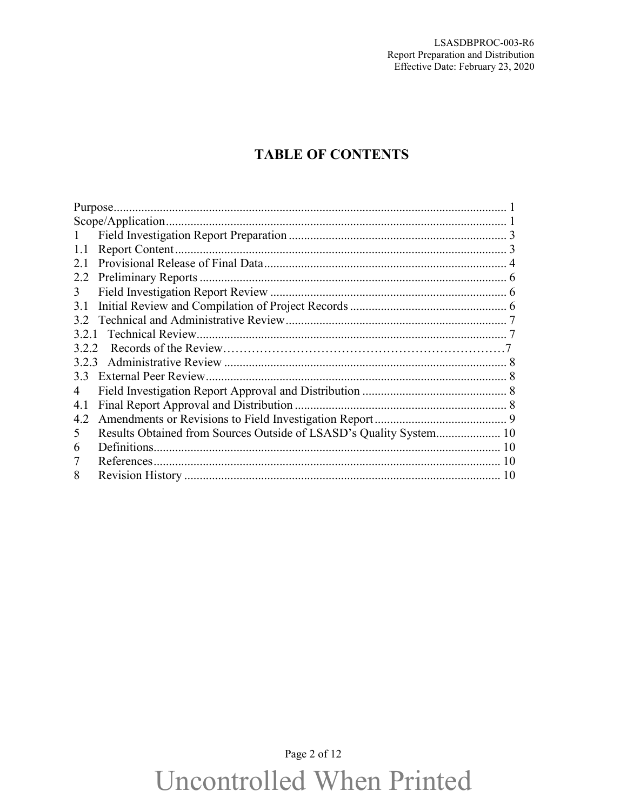### **TABLE OF CONTENTS**

|               | Scope/Application.                                                 |  |
|---------------|--------------------------------------------------------------------|--|
| $\mathbf{1}$  |                                                                    |  |
| 1.1           |                                                                    |  |
| 2.1           |                                                                    |  |
| 2.2           |                                                                    |  |
| 3             |                                                                    |  |
| 3.1           |                                                                    |  |
| $3.2^{\circ}$ |                                                                    |  |
|               |                                                                    |  |
| 3.2.2         |                                                                    |  |
|               |                                                                    |  |
| 3.3           |                                                                    |  |
| 4             |                                                                    |  |
| 4.1           |                                                                    |  |
| 4.2           |                                                                    |  |
| $\mathcal{D}$ | Results Obtained from Sources Outside of LSASD's Quality System 10 |  |
| 6             |                                                                    |  |
|               |                                                                    |  |
| 8             |                                                                    |  |

## Page 2 of 12 **Uncontrolled When Printed**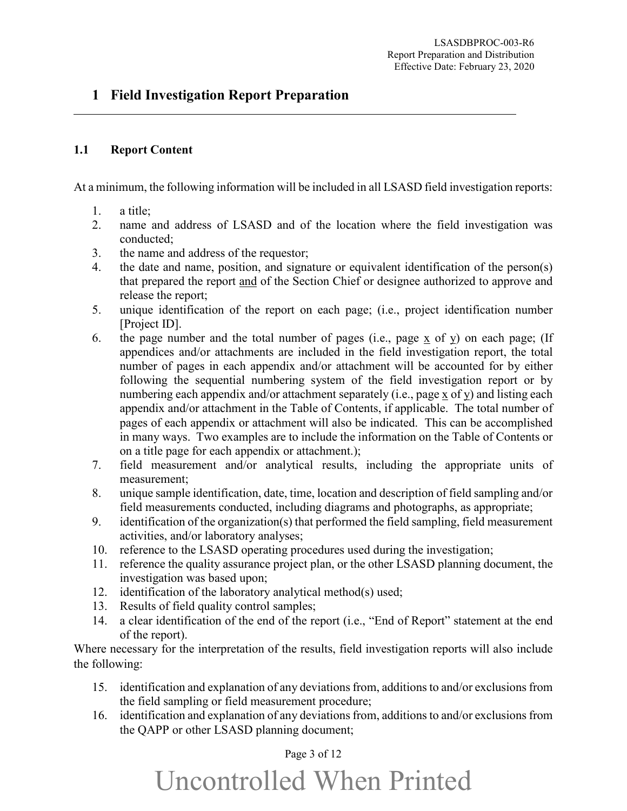#### <span id="page-2-0"></span>**1 Field Investigation Report Preparation**

#### <span id="page-2-1"></span>**1.1 Report Content**

At a minimum, the following information will be included in all LSASD field investigation reports:

- 1. a title;
- 2. name and address of LSASD and of the location where the field investigation was conducted;
- 3. the name and address of the requestor;
- 4. the date and name, position, and signature or equivalent identification of the person(s) that prepared the report and of the Section Chief or designee authorized to approve and release the report;
- 5. unique identification of the report on each page; (i.e., project identification number [Project ID].
- 6. the page number and the total number of pages (i.e., page x of y) on each page; (If appendices and/or attachments are included in the field investigation report, the total number of pages in each appendix and/or attachment will be accounted for by either following the sequential numbering system of the field investigation report or by numbering each appendix and/or attachment separately (i.e., page x of y) and listing each appendix and/or attachment in the Table of Contents, if applicable. The total number of pages of each appendix or attachment will also be indicated. This can be accomplished in many ways. Two examples are to include the information on the Table of Contents or on a title page for each appendix or attachment.);
- 7. field measurement and/or analytical results, including the appropriate units of measurement;
- 8. unique sample identification, date, time, location and description of field sampling and/or field measurements conducted, including diagrams and photographs, as appropriate;
- 9. identification of the organization(s) that performed the field sampling, field measurement activities, and/or laboratory analyses;
- 10. reference to the LSASD operating procedures used during the investigation;
- 11. reference the quality assurance project plan, or the other LSASD planning document, the investigation was based upon;
- 12. identification of the laboratory analytical method(s) used;
- 13. Results of field quality control samples;
- 14. a clear identification of the end of the report (i.e., "End of Report" statement at the end of the report).

Where necessary for the interpretation of the results, field investigation reports will also include the following:

- 15. identification and explanation of any deviations from, additions to and/or exclusions from the field sampling or field measurement procedure;
- 16. identification and explanation of any deviations from, additions to and/or exclusions from the QAPP or other LSASD planning document;

#### Page 3 of 12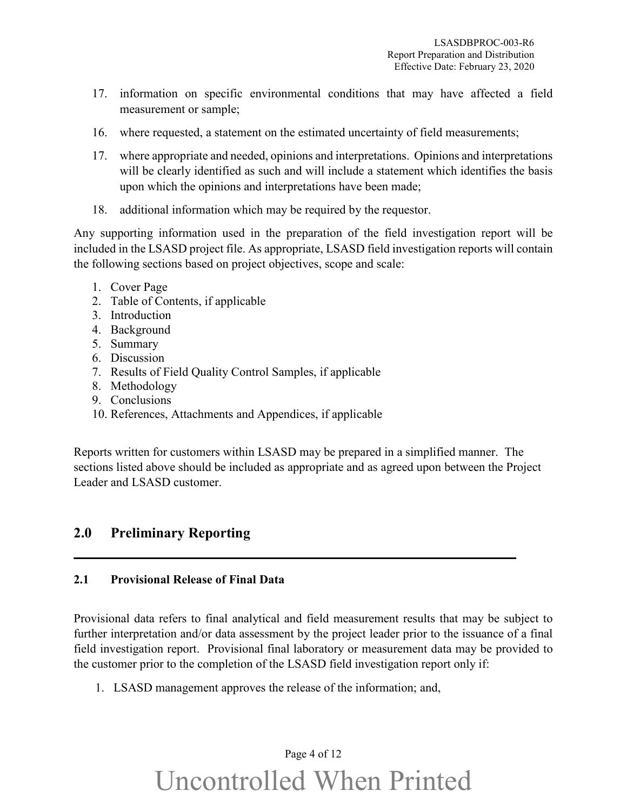- 17. information on specific environmental conditions that may have affected a field measurement or sample;
- 16. where requested, a statement on the estimated uncertainty of field measurements;
- 17. where appropriate and needed, opinions and interpretations. Opinions and interpretations will be clearly identified as such and will include a statement which identifies the basis upon which the opinions and interpretations have been made;
- 18. additional information which may be required by the requestor.

Any supporting information used in the preparation of the field investigation report will be included in the LSASD project file. As appropriate, LSASD field investigation reports will contain the following sections based on project objectives, scope and scale:

- 1. Cover Page
- 2. Table of Contents, if applicable
- 3. Introduction
- 4. Background
- 5. Summary
- 6. Discussion
- 7. Results of Field Quality Control Samples, if applicable
- 8. Methodology
- 9. Conclusions
- 10. References, Attachments and Appendices, if applicable

Reports written for customers within LSASD may be prepared in a simplified manner. The sections listed above should be included as appropriate and as agreed upon between the Project Leader and LSASD customer.

#### **2.0 Preliminary Reporting**

#### <span id="page-3-0"></span>**2.1 Provisional Release of Final Data**

Provisional data refers to final analytical and field measurement results that may be subject to further interpretation and/or data assessment by the project leader prior to the issuance of a final field investigation report. Provisional final laboratory or measurement data may be provided to the customer prior to the completion of the LSASD field investigation report only if:

1. LSASD management approves the release of the information; and,

### Page 4 of 12 Uncontrolled When Printed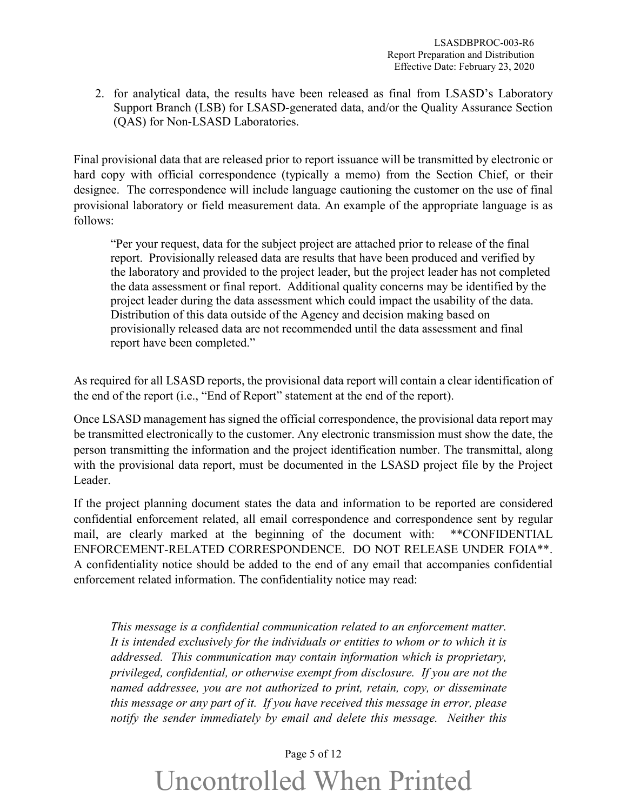2. for analytical data, the results have been released as final from LSASD's Laboratory Support Branch (LSB) for LSASD-generated data, and/or the Quality Assurance Section (QAS) for Non-LSASD Laboratories.

Final provisional data that are released prior to report issuance will be transmitted by electronic or hard copy with official correspondence (typically a memo) from the Section Chief, or their designee. The correspondence will include language cautioning the customer on the use of final provisional laboratory or field measurement data. An example of the appropriate language is as follows:

"Per your request, data for the subject project are attached prior to release of the final report. Provisionally released data are results that have been produced and verified by the laboratory and provided to the project leader, but the project leader has not completed the data assessment or final report. Additional quality concerns may be identified by the project leader during the data assessment which could impact the usability of the data. Distribution of this data outside of the Agency and decision making based on provisionally released data are not recommended until the data assessment and final report have been completed."

As required for all LSASD reports, the provisional data report will contain a clear identification of the end of the report (i.e., "End of Report" statement at the end of the report).

Once LSASD management has signed the official correspondence, the provisional data report may be transmitted electronically to the customer. Any electronic transmission must show the date, the person transmitting the information and the project identification number. The transmittal, along with the provisional data report, must be documented in the LSASD project file by the Project Leader.

If the project planning document states the data and information to be reported are considered confidential enforcement related, all email correspondence and correspondence sent by regular mail, are clearly marked at the beginning of the document with: \*\*CONFIDENTIAL ENFORCEMENT-RELATED CORRESPONDENCE. DO NOT RELEASE UNDER FOIA\*\*. A confidentiality notice should be added to the end of any email that accompanies confidential enforcement related information. The confidentiality notice may read:

*This message is a confidential communication related to an enforcement matter. It is intended exclusively for the individuals or entities to whom or to which it is addressed. This communication may contain information which is proprietary, privileged, confidential, or otherwise exempt from disclosure. If you are not the named addressee, you are not authorized to print, retain, copy, or disseminate this message or any part of it. If you have received this message in error, please notify the sender immediately by email and delete this message. Neither this* 

#### Page 5 of 12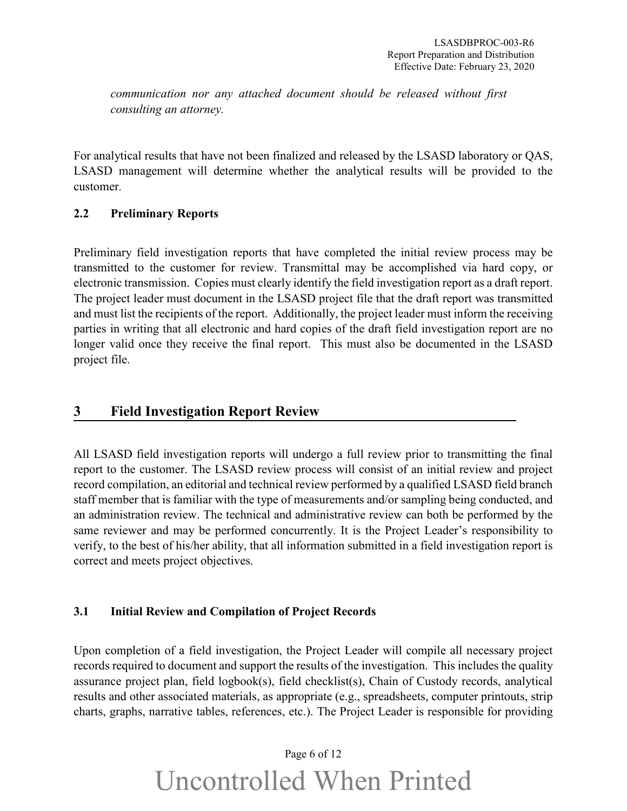*communication nor any attached document should be released without first consulting an attorney.* 

For analytical results that have not been finalized and released by the LSASD laboratory or QAS, LSASD management will determine whether the analytical results will be provided to the customer.

#### <span id="page-5-0"></span>**2.2 Preliminary Reports**

Preliminary field investigation reports that have completed the initial review process may be transmitted to the customer for review. Transmittal may be accomplished via hard copy, or electronic transmission. Copies must clearly identify the field investigation report as a draft report. The project leader must document in the LSASD project file that the draft report was transmitted and must list the recipients of the report. Additionally, the project leader must inform the receiving parties in writing that all electronic and hard copies of the draft field investigation report are no longer valid once they receive the final report. This must also be documented in the LSASD project file.

#### <span id="page-5-1"></span>**3 Field Investigation Report Review**

All LSASD field investigation reports will undergo a full review prior to transmitting the final report to the customer. The LSASD review process will consist of an initial review and project record compilation, an editorial and technical review performed by a qualified LSASD field branch staff member that is familiar with the type of measurements and/or sampling being conducted, and an administration review. The technical and administrative review can both be performed by the same reviewer and may be performed concurrently. It is the Project Leader's responsibility to verify, to the best of his/her ability, that all information submitted in a field investigation report is correct and meets project objectives.

#### <span id="page-5-2"></span>**3.1 Initial Review and Compilation of Project Records**

Upon completion of a field investigation, the Project Leader will compile all necessary project records required to document and support the results of the investigation. This includes the quality assurance project plan, field logbook(s), field checklist(s), Chain of Custody records, analytical results and other associated materials, as appropriate (e.g., spreadsheets, computer printouts, strip charts, graphs, narrative tables, references, etc.). The Project Leader is responsible for providing

## Page 6 of 12 Uncontrolled When Printed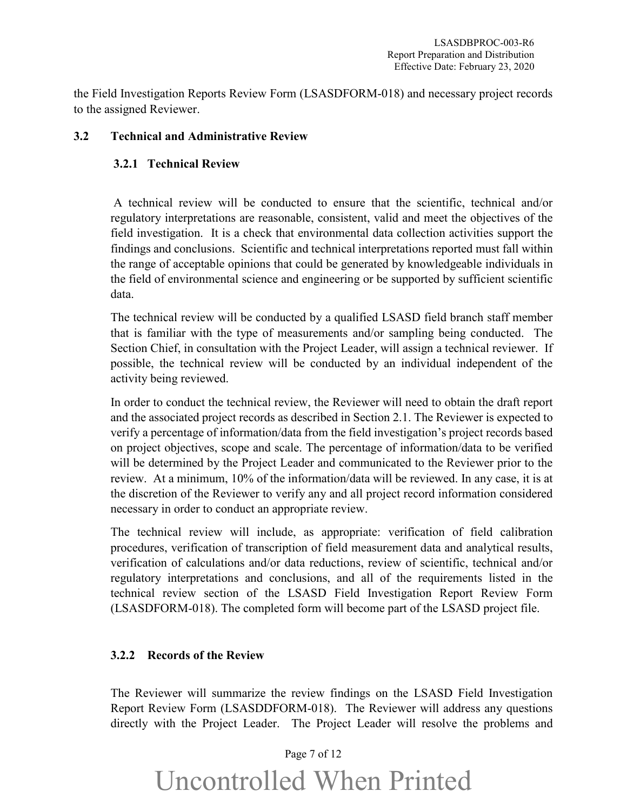the Field Investigation Reports Review Form (LSASDFORM-018) and necessary project records to the assigned Reviewer.

#### <span id="page-6-0"></span>**3.2 Technical and Administrative Review**

#### <span id="page-6-1"></span> **3.2.1 Technical Review**

A technical review will be conducted to ensure that the scientific, technical and/or regulatory interpretations are reasonable, consistent, valid and meet the objectives of the field investigation. It is a check that environmental data collection activities support the findings and conclusions. Scientific and technical interpretations reported must fall within the range of acceptable opinions that could be generated by knowledgeable individuals in the field of environmental science and engineering or be supported by sufficient scientific data.

The technical review will be conducted by a qualified LSASD field branch staff member that is familiar with the type of measurements and/or sampling being conducted. The Section Chief, in consultation with the Project Leader, will assign a technical reviewer. If possible, the technical review will be conducted by an individual independent of the activity being reviewed.

In order to conduct the technical review, the Reviewer will need to obtain the draft report and the associated project records as described in Section 2.1. The Reviewer is expected to verify a percentage of information/data from the field investigation's project records based on project objectives, scope and scale. The percentage of information/data to be verified will be determined by the Project Leader and communicated to the Reviewer prior to the review. At a minimum, 10% of the information/data will be reviewed. In any case, it is at the discretion of the Reviewer to verify any and all project record information considered necessary in order to conduct an appropriate review.

The technical review will include, as appropriate: verification of field calibration procedures, verification of transcription of field measurement data and analytical results, verification of calculations and/or data reductions, review of scientific, technical and/or regulatory interpretations and conclusions, and all of the requirements listed in the technical review section of the LSASD Field Investigation Report Review Form (LSASDFORM-018). The completed form will become part of the LSASD project file.

#### <span id="page-6-2"></span>**3.2.2 Records of the Review**

The Reviewer will summarize the review findings on the LSASD Field Investigation Report Review Form (LSASDDFORM-018). The Reviewer will address any questions directly with the Project Leader. The Project Leader will resolve the problems and

#### Page 7 of 12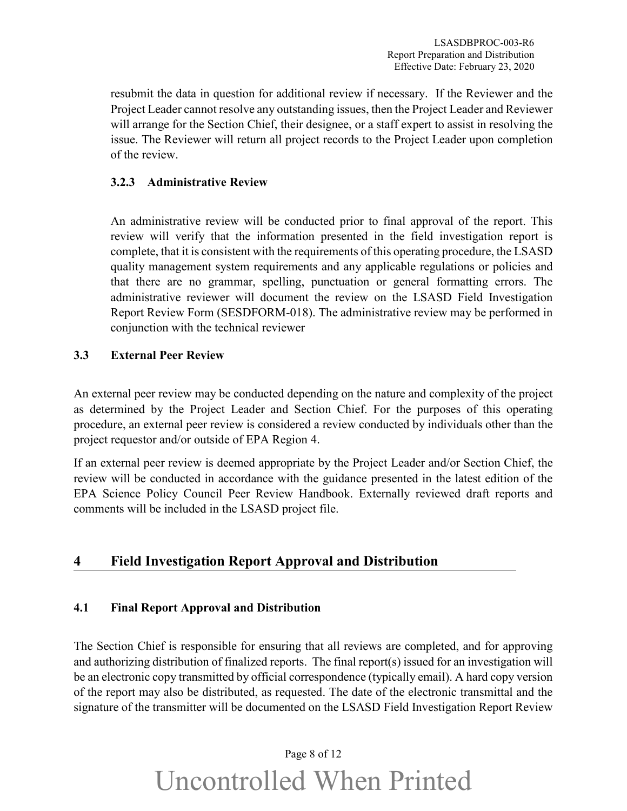resubmit the data in question for additional review if necessary. If the Reviewer and the Project Leader cannot resolve any outstanding issues, then the Project Leader and Reviewer will arrange for the Section Chief, their designee, or a staff expert to assist in resolving the issue. The Reviewer will return all project records to the Project Leader upon completion of the review.

#### <span id="page-7-0"></span>**3.2.3 Administrative Review**

An administrative review will be conducted prior to final approval of the report. This review will verify that the information presented in the field investigation report is complete, that it is consistent with the requirements of this operating procedure, the LSASD quality management system requirements and any applicable regulations or policies and that there are no grammar, spelling, punctuation or general formatting errors. The administrative reviewer will document the review on the LSASD Field Investigation Report Review Form (SESDFORM-018). The administrative review may be performed in conjunction with the technical reviewer

#### <span id="page-7-1"></span>**3.3 External Peer Review**

An external peer review may be conducted depending on the nature and complexity of the project as determined by the Project Leader and Section Chief. For the purposes of this operating procedure, an external peer review is considered a review conducted by individuals other than the project requestor and/or outside of EPA Region 4.

If an external peer review is deemed appropriate by the Project Leader and/or Section Chief, the review will be conducted in accordance with the guidance presented in the latest edition of the EPA Science Policy Council Peer Review Handbook. Externally reviewed draft reports and comments will be included in the LSASD project file.

### <span id="page-7-2"></span>**4 Field Investigation Report Approval and Distribution**

#### <span id="page-7-3"></span>**4.1 Final Report Approval and Distribution**

The Section Chief is responsible for ensuring that all reviews are completed, and for approving and authorizing distribution of finalized reports. The final report(s) issued for an investigation will be an electronic copy transmitted by official correspondence (typically email). A hard copy version of the report may also be distributed, as requested. The date of the electronic transmittal and the signature of the transmitter will be documented on the LSASD Field Investigation Report Review

## Page 8 of 12 Uncontrolled When Printed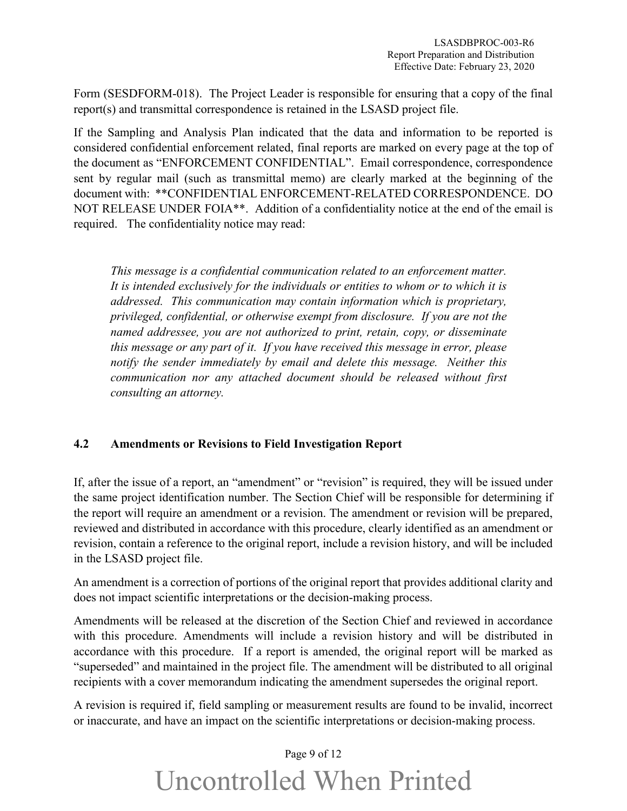Form (SESDFORM-018). The Project Leader is responsible for ensuring that a copy of the final report(s) and transmittal correspondence is retained in the LSASD project file.

If the Sampling and Analysis Plan indicated that the data and information to be reported is considered confidential enforcement related, final reports are marked on every page at the top of the document as "ENFORCEMENT CONFIDENTIAL". Email correspondence, correspondence sent by regular mail (such as transmittal memo) are clearly marked at the beginning of the document with: \*\*CONFIDENTIAL ENFORCEMENT-RELATED CORRESPONDENCE. DO NOT RELEASE UNDER FOIA\*\*. Addition of a confidentiality notice at the end of the email is required. The confidentiality notice may read:

*This message is a confidential communication related to an enforcement matter. It is intended exclusively for the individuals or entities to whom or to which it is addressed. This communication may contain information which is proprietary, privileged, confidential, or otherwise exempt from disclosure. If you are not the named addressee, you are not authorized to print, retain, copy, or disseminate this message or any part of it. If you have received this message in error, please notify the sender immediately by email and delete this message. Neither this communication nor any attached document should be released without first consulting an attorney.* 

#### <span id="page-8-0"></span>**4.2 Amendments or Revisions to Field Investigation Report**

If, after the issue of a report, an "amendment" or "revision" is required, they will be issued under the same project identification number. The Section Chief will be responsible for determining if the report will require an amendment or a revision. The amendment or revision will be prepared, reviewed and distributed in accordance with this procedure, clearly identified as an amendment or revision, contain a reference to the original report, include a revision history, and will be included in the LSASD project file.

An amendment is a correction of portions of the original report that provides additional clarity and does not impact scientific interpretations or the decision-making process.

Amendments will be released at the discretion of the Section Chief and reviewed in accordance with this procedure. Amendments will include a revision history and will be distributed in accordance with this procedure. If a report is amended, the original report will be marked as "superseded" and maintained in the project file. The amendment will be distributed to all original recipients with a cover memorandum indicating the amendment supersedes the original report.

A revision is required if, field sampling or measurement results are found to be invalid, incorrect or inaccurate, and have an impact on the scientific interpretations or decision-making process.

#### Page 9 of 12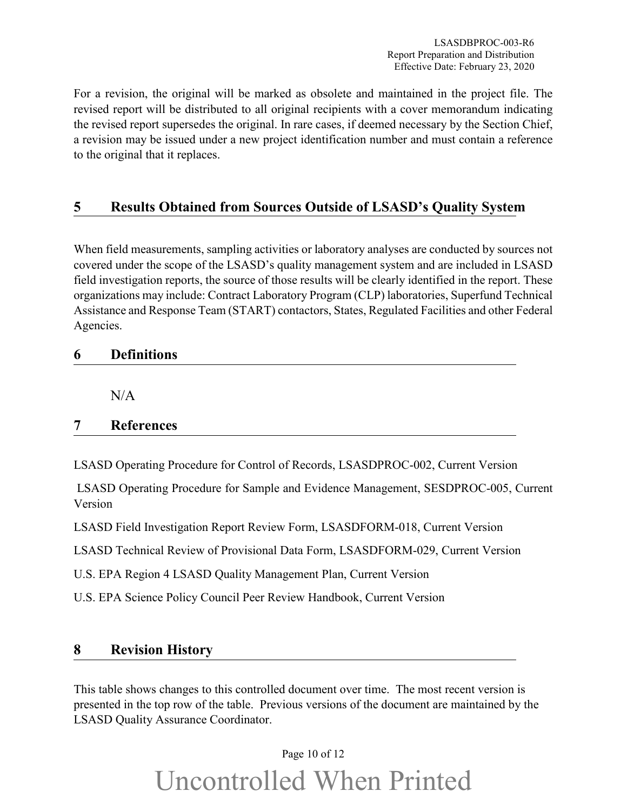For a revision, the original will be marked as obsolete and maintained in the project file. The revised report will be distributed to all original recipients with a cover memorandum indicating the revised report supersedes the original. In rare cases, if deemed necessary by the Section Chief, a revision may be issued under a new project identification number and must contain a reference to the original that it replaces.

### <span id="page-9-0"></span>**5 Results Obtained from Sources Outside of LSASD's Quality System**

When field measurements, sampling activities or laboratory analyses are conducted by sources not covered under the scope of the LSASD's quality management system and are included in LSASD field investigation reports, the source of those results will be clearly identified in the report. These organizations may include: Contract Laboratory Program (CLP) laboratories, Superfund Technical Assistance and Response Team (START) contactors, States, Regulated Facilities and other Federal Agencies.

#### <span id="page-9-1"></span>**6 Definitions**

 $N/A$ 

#### <span id="page-9-2"></span>**7 References**

LSASD Operating Procedure for Control of Records, LSASDPROC-002, Current Version

LSASD Operating Procedure for Sample and Evidence Management, SESDPROC-005, Current Version

LSASD Field Investigation Report Review Form, LSASDFORM-018, Current Version

LSASD Technical Review of Provisional Data Form, LSASDFORM-029, Current Version

U.S. EPA Region 4 LSASD Quality Management Plan, Current Version

U.S. EPA Science Policy Council Peer Review Handbook, Current Version

#### <span id="page-9-3"></span>**8 Revision History**

This table shows changes to this controlled document over time. The most recent version is presented in the top row of the table. Previous versions of the document are maintained by the LSASD Quality Assurance Coordinator.

#### Page 10 of 12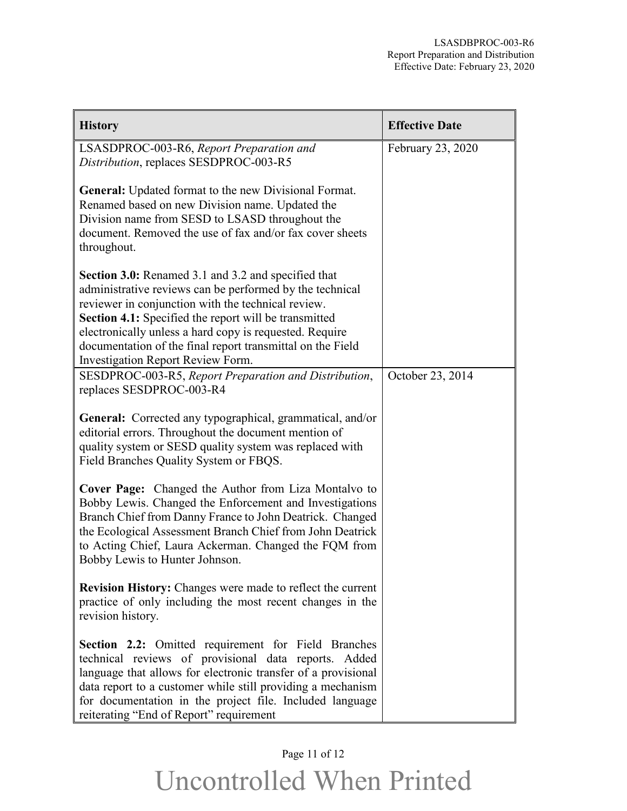| <b>History</b>                                                                                                                                                                                                                                                                                                                                                                                      | <b>Effective Date</b> |
|-----------------------------------------------------------------------------------------------------------------------------------------------------------------------------------------------------------------------------------------------------------------------------------------------------------------------------------------------------------------------------------------------------|-----------------------|
| LSASDPROC-003-R6, Report Preparation and<br>Distribution, replaces SESDPROC-003-R5                                                                                                                                                                                                                                                                                                                  | February 23, 2020     |
| <b>General:</b> Updated format to the new Divisional Format.<br>Renamed based on new Division name. Updated the<br>Division name from SESD to LSASD throughout the<br>document. Removed the use of fax and/or fax cover sheets<br>throughout.                                                                                                                                                       |                       |
| <b>Section 3.0:</b> Renamed 3.1 and 3.2 and specified that<br>administrative reviews can be performed by the technical<br>reviewer in conjunction with the technical review.<br>Section 4.1: Specified the report will be transmitted<br>electronically unless a hard copy is requested. Require<br>documentation of the final report transmittal on the Field<br>Investigation Report Review Form. |                       |
| SESDPROC-003-R5, Report Preparation and Distribution,<br>replaces SESDPROC-003-R4                                                                                                                                                                                                                                                                                                                   | October 23, 2014      |
| General: Corrected any typographical, grammatical, and/or<br>editorial errors. Throughout the document mention of<br>quality system or SESD quality system was replaced with<br>Field Branches Quality System or FBQS.                                                                                                                                                                              |                       |
| Cover Page: Changed the Author from Liza Montalvo to<br>Bobby Lewis. Changed the Enforcement and Investigations<br>Branch Chief from Danny France to John Deatrick. Changed<br>the Ecological Assessment Branch Chief from John Deatrick<br>to Acting Chief, Laura Ackerman. Changed the FQM from<br>Bobby Lewis to Hunter Johnson.                                                                 |                       |
| <b>Revision History:</b> Changes were made to reflect the current<br>practice of only including the most recent changes in the<br>revision history.                                                                                                                                                                                                                                                 |                       |
| Section 2.2: Omitted requirement for Field Branches<br>technical reviews of provisional data reports. Added<br>language that allows for electronic transfer of a provisional<br>data report to a customer while still providing a mechanism<br>for documentation in the project file. Included language<br>reiterating "End of Report" requirement                                                  |                       |

### Page 11 of 12